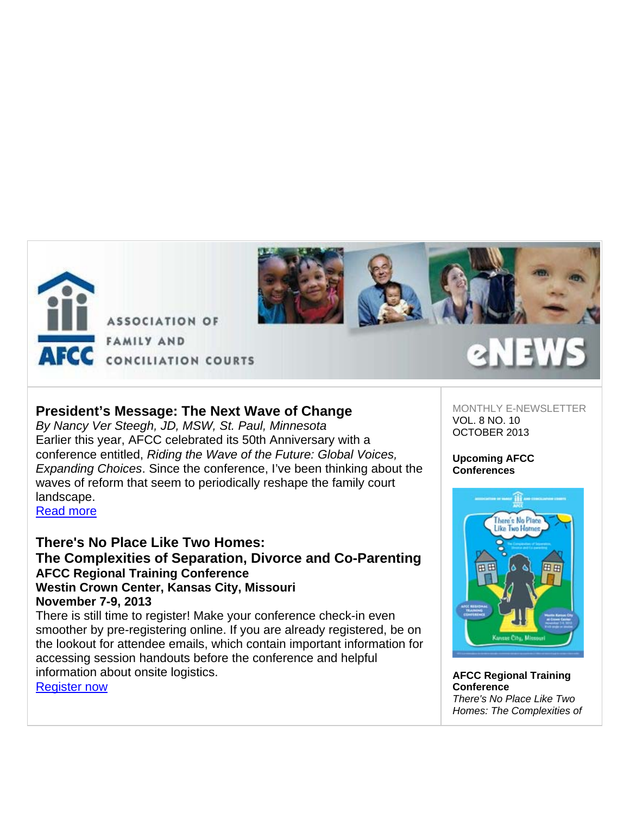

**ASSOCIATION OF FAMILY AND** AFCC CONCILIATION COURTS



# **President's Message: The Next Wave of Change**

*By Nancy Ver Steegh, JD, MSW, St. Paul, Minnesota*  Earlier this year, AFCC celebrated its 50th Anniversary with a conference entitled, *Riding the Wave of the Future: Global Voices, Expanding Choices*. Since the conference, I've been thinking about the waves of reform that seem to periodically reshape the family court landscape.

Read more

# **There's No Place Like Two Homes: The Complexities of Separation, Divorce and Co-Parenting AFCC Regional Training Conference Westin Crown Center, Kansas City, Missouri November 7-9, 2013**

There is still time to register! Make your conference check-in even smoother by pre-registering online. If you are already registered, be on the lookout for attendee emails, which contain important information for accessing session handouts before the conference and helpful information about onsite logistics. Register now

MONTHLY E-NEWSLETTER VOL. 8 NO. 10 OCTOBER 2013

## **Upcoming AFCC Conferences**



**AFCC Regional Training Conference** *There's No Place Like Two Homes: The Complexities of*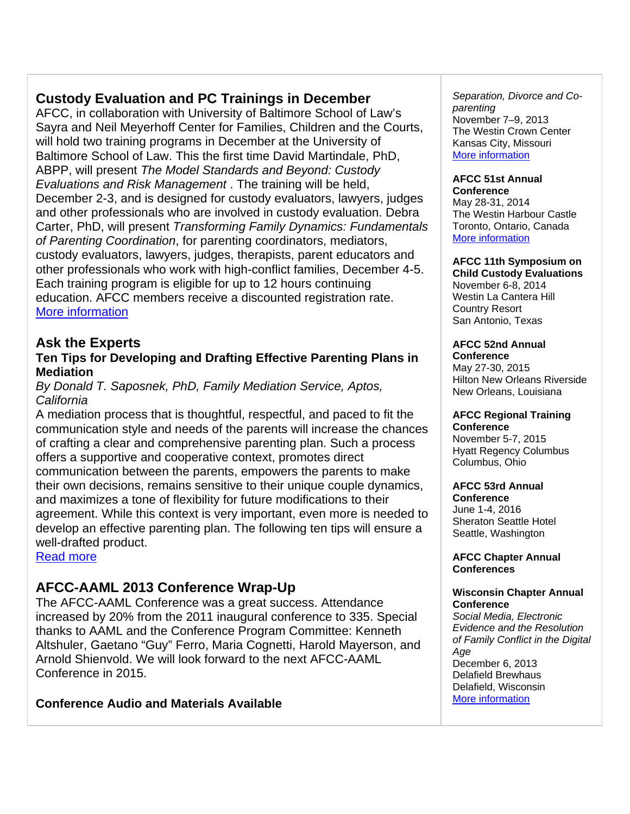# **Custody Evaluation and PC Trainings in December**

AFCC, in collaboration with University of Baltimore School of Law's Sayra and Neil Meyerhoff Center for Families, Children and the Courts, will hold two training programs in December at the University of Baltimore School of Law. This the first time David Martindale, PhD, ABPP, will present *The Model Standards and Beyond: Custody Evaluations and Risk Management* . The training will be held, December 2-3, and is designed for custody evaluators, lawyers, judges and other professionals who are involved in custody evaluation. Debra Carter, PhD, will present *Transforming Family Dynamics: Fundamentals of Parenting Coordination*, for parenting coordinators, mediators, custody evaluators, lawyers, judges, therapists, parent educators and other professionals who work with high-conflict families, December 4-5. Each training program is eligible for up to 12 hours continuing education. AFCC members receive a discounted registration rate. More information

# **Ask the Experts**

# **Ten Tips for Developing and Drafting Effective Parenting Plans in Mediation**

# *By Donald T. Saposnek, PhD, Family Mediation Service, Aptos, California*

A mediation process that is thoughtful, respectful, and paced to fit the communication style and needs of the parents will increase the chances of crafting a clear and comprehensive parenting plan. Such a process offers a supportive and cooperative context, promotes direct communication between the parents, empowers the parents to make their own decisions, remains sensitive to their unique couple dynamics, and maximizes a tone of flexibility for future modifications to their agreement. While this context is very important, even more is needed to develop an effective parenting plan. The following ten tips will ensure a well-drafted product.

Read more

# **AFCC-AAML 2013 Conference Wrap-Up**

The AFCC-AAML Conference was a great success. Attendance increased by 20% from the 2011 inaugural conference to 335. Special thanks to AAML and the Conference Program Committee: Kenneth Altshuler, Gaetano "Guy" Ferro, Maria Cognetti, Harold Mayerson, and Arnold Shienvold. We will look forward to the next AFCC-AAML Conference in 2015.

# **Conference Audio and Materials Available**

*Separation, Divorce and Coparenting*  November 7–9, 2013 The Westin Crown Center Kansas City, Missouri More information

### **AFCC 51st Annual Conference**

May 28-31, 2014 The Westin Harbour Castle Toronto, Ontario, Canada More information

# **AFCC 11th Symposium on**

**Child Custody Evaluations** November 6-8, 2014 Westin La Cantera Hill Country Resort San Antonio, Texas

# **AFCC 52nd Annual**

**Conference**  May 27-30, 2015 Hilton New Orleans Riverside New Orleans, Louisiana

### **AFCC Regional Training Conference**

November 5-7, 2015 Hyatt Regency Columbus Columbus, Ohio

# **AFCC 53rd Annual**

**Conference** June 1-4, 2016 Sheraton Seattle Hotel Seattle, Washington

**AFCC Chapter Annual Conferences** 

## **Wisconsin Chapter Annual Conference**

*Social Media, Electronic Evidence and the Resolution of Family Conflict in the Digital Age*  December 6, 2013 Delafield Brewhaus Delafield, Wisconsin More information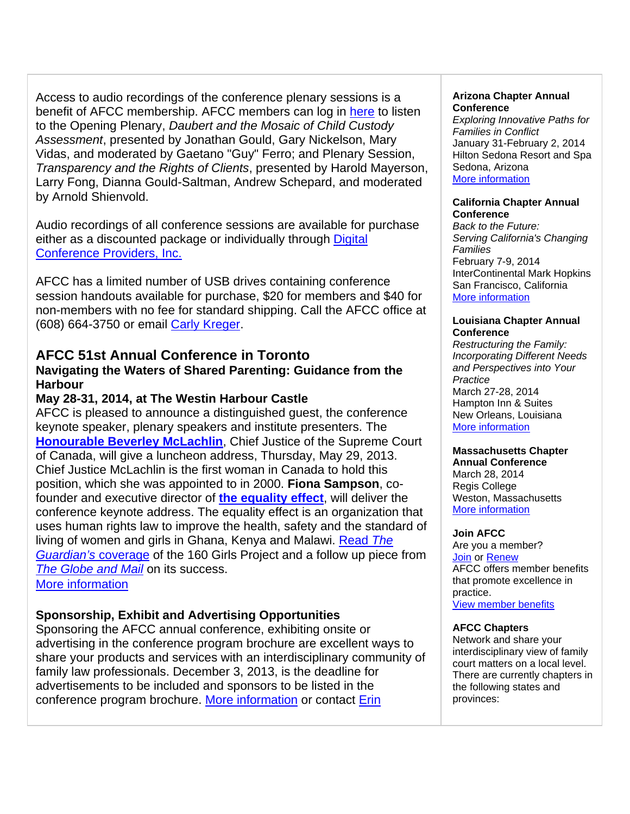Access to audio recordings of the conference plenary sessions is a benefit of AFCC membership. AFCC members can log in here to listen to the Opening Plenary, *Daubert and the Mosaic of Child Custody Assessment*, presented by Jonathan Gould, Gary Nickelson, Mary Vidas, and moderated by Gaetano "Guy" Ferro; and Plenary Session, *Transparency and the Rights of Clients*, presented by Harold Mayerson, Larry Fong, Dianna Gould-Saltman, Andrew Schepard, and moderated by Arnold Shienvold.

Audio recordings of all conference sessions are available for purchase either as a discounted package or individually through Digital Conference Providers, Inc.

AFCC has a limited number of USB drives containing conference session handouts available for purchase, \$20 for members and \$40 for non-members with no fee for standard shipping. Call the AFCC office at (608) 664-3750 or email Carly Kreger.

# **AFCC 51st Annual Conference in Toronto**

# **Navigating the Waters of Shared Parenting: Guidance from the Harbour**

# **May 28-31, 2014, at The Westin Harbour Castle**

AFCC is pleased to announce a distinguished guest, the conference keynote speaker, plenary speakers and institute presenters. The **Honourable Beverley McLachlin**, Chief Justice of the Supreme Court of Canada, will give a luncheon address, Thursday, May 29, 2013. Chief Justice McLachlin is the first woman in Canada to hold this position, which she was appointed to in 2000. **Fiona Sampson**, cofounder and executive director of **the equality effect**, will deliver the conference keynote address. The equality effect is an organization that uses human rights law to improve the health, safety and the standard of living of women and girls in Ghana, Kenya and Malawi. Read *The Guardian's* coverage of the 160 Girls Project and a follow up piece from **The Globe and Mail** on its success.

More information

# **Sponsorship, Exhibit and Advertising Opportunities**

Sponsoring the AFCC annual conference, exhibiting onsite or advertising in the conference program brochure are excellent ways to share your products and services with an interdisciplinary community of family law professionals. December 3, 2013, is the deadline for advertisements to be included and sponsors to be listed in the conference program brochure. More information or contact Erin

## **Arizona Chapter Annual Conference**

*Exploring Innovative Paths for Families in Conflict* January 31-February 2, 2014 Hilton Sedona Resort and Spa Sedona, Arizona More information

## **California Chapter Annual Conference**

*Back to the Future: Serving California's Changing Families* February 7-9, 2014 InterContinental Mark Hopkins San Francisco, California More information

## **Louisiana Chapter Annual Conference**

*Restructuring the Family: Incorporating Different Needs and Perspectives into Your Practice* March 27-28, 2014 Hampton Inn & Suites New Orleans, Louisiana More information

# **Massachusetts Chapter**

**Annual Conference** March 28, 2014 Regis College Weston, Massachusetts More information

## **Join AFCC**

Are you a member? Join or Renew AFCC offers member benefits that promote excellence in practice. View member benefits

## **AFCC Chapters**

Network and share your interdisciplinary view of family court matters on a local level. There are currently chapters in the following states and provinces: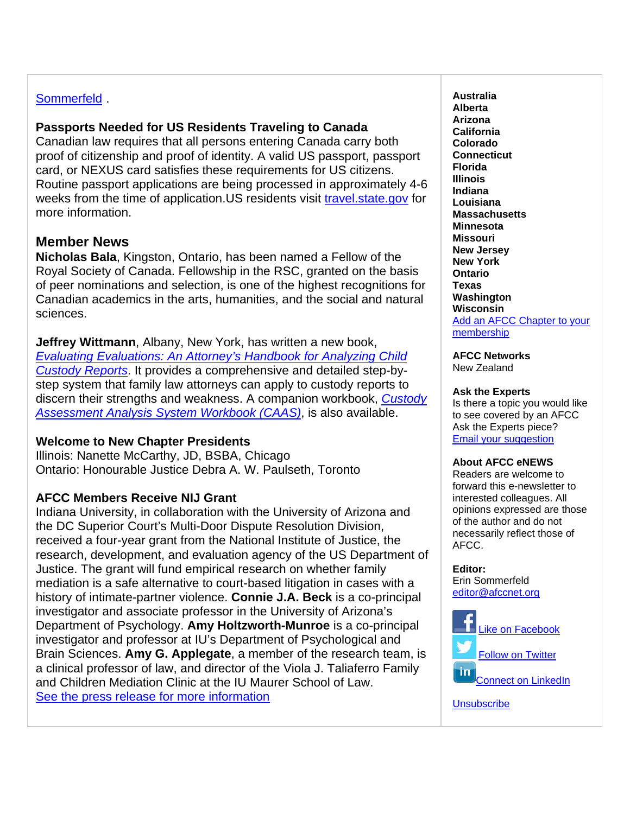# Sommerfeld .

# **Passports Needed for US Residents Traveling to Canada**

Canadian law requires that all persons entering Canada carry both proof of citizenship and proof of identity. A valid US passport, passport card, or NEXUS card satisfies these requirements for US citizens. Routine passport applications are being processed in approximately 4-6 weeks from the time of application. US residents visit travel. state.gov for more information.

# **Member News**

**Nicholas Bala**, Kingston, Ontario, has been named a Fellow of the Royal Society of Canada. Fellowship in the RSC, granted on the basis of peer nominations and selection, is one of the highest recognitions for Canadian academics in the arts, humanities, and the social and natural sciences.

**Jeffrey Wittmann**, Albany, New York, has written a new book, *Evaluating Evaluations: An Attorney's Handbook for Analyzing Child Custody Reports*. It provides a comprehensive and detailed step-bystep system that family law attorneys can apply to custody reports to discern their strengths and weakness. A companion workbook, *Custody Assessment Analysis System Workbook (CAAS)*, is also available.

# **Welcome to New Chapter Presidents**

Illinois: Nanette McCarthy, JD, BSBA, Chicago Ontario: Honourable Justice Debra A. W. Paulseth, Toronto

# **AFCC Members Receive NIJ Grant**

Indiana University, in collaboration with the University of Arizona and the DC Superior Court's Multi-Door Dispute Resolution Division, received a four-year grant from the National Institute of Justice, the research, development, and evaluation agency of the US Department of Justice. The grant will fund empirical research on whether family mediation is a safe alternative to court-based litigation in cases with a history of intimate-partner violence. **Connie J.A. Beck** is a co-principal investigator and associate professor in the University of Arizona's Department of Psychology. **Amy Holtzworth-Munroe** is a co-principal investigator and professor at IU's Department of Psychological and Brain Sciences. **Amy G. Applegate**, a member of the research team, is a clinical professor of law, and director of the Viola J. Taliaferro Family and Children Mediation Clinic at the IU Maurer School of Law. See the press release for more information

**Australia Alberta Arizona California Colorado Connecticut Florida Illinois Indiana Louisiana Massachusetts Minnesota Missouri New Jersey New York Ontario Texas Washington Wisconsin**  Add an AFCC Chapter to your membership

**AFCC Networks**  New Zealand

## **Ask the Experts**

Is there a topic you would like to see covered by an AFCC Ask the Experts piece? Email your suggestion

## **About AFCC eNEWS**

Readers are welcome to forward this e-newsletter to interested colleagues. All opinions expressed are those of the author and do not necessarily reflect those of AFCC.

### **Editor:**

Erin Sommerfeld editor@afccnet.org



**Unsubscribe**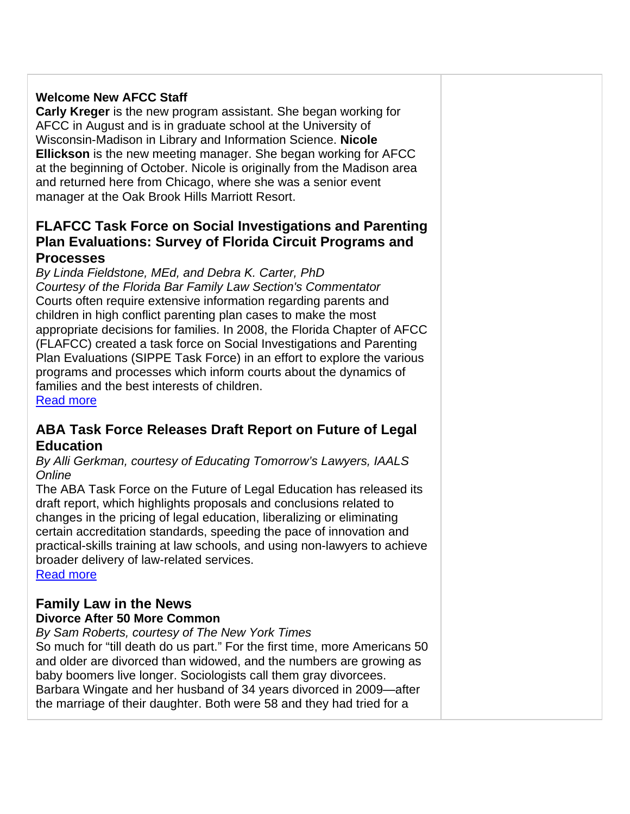# **Welcome New AFCC Staff**

**Carly Kreger** is the new program assistant. She began working for AFCC in August and is in graduate school at the University of Wisconsin-Madison in Library and Information Science. **Nicole Ellickson** is the new meeting manager. She began working for AFCC at the beginning of October. Nicole is originally from the Madison area and returned here from Chicago, where she was a senior event manager at the Oak Brook Hills Marriott Resort.

# **FLAFCC Task Force on Social Investigations and Parenting Plan Evaluations: Survey of Florida Circuit Programs and Processes**

*By Linda Fieldstone, MEd, and Debra K. Carter, PhD Courtesy of the Florida Bar Family Law Section's Commentator*  Courts often require extensive information regarding parents and children in high conflict parenting plan cases to make the most appropriate decisions for families. In 2008, the Florida Chapter of AFCC (FLAFCC) created a task force on Social Investigations and Parenting Plan Evaluations (SIPPE Task Force) in an effort to explore the various programs and processes which inform courts about the dynamics of families and the best interests of children. Read more

# **ABA Task Force Releases Draft Report on Future of Legal Education**

*By Alli Gerkman, courtesy of Educating Tomorrow's Lawyers, IAALS Online* 

The ABA Task Force on the Future of Legal Education has released its draft report, which highlights proposals and conclusions related to changes in the pricing of legal education, liberalizing or eliminating certain accreditation standards, speeding the pace of innovation and practical-skills training at law schools, and using non-lawyers to achieve broader delivery of law-related services.

Read more

# **Family Law in the News**

# **Divorce After 50 More Common**

*By Sam Roberts, courtesy of The New York Times*  So much for "till death do us part." For the first time, more Americans 50 and older are divorced than widowed, and the numbers are growing as baby boomers live longer. Sociologists call them gray divorcees. Barbara Wingate and her husband of 34 years divorced in 2009—after the marriage of their daughter. Both were 58 and they had tried for a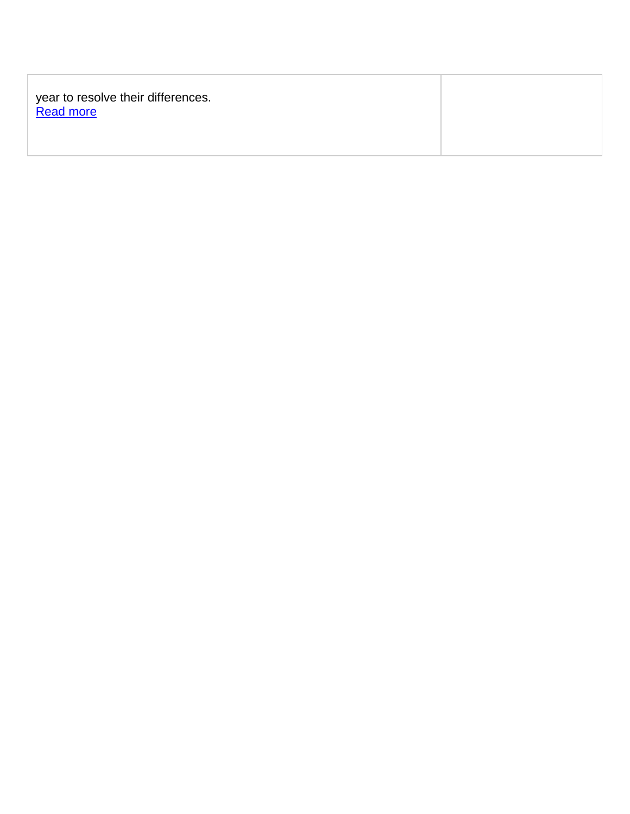| year to resolve their differences.<br><b>Read more</b> |  |
|--------------------------------------------------------|--|
|                                                        |  |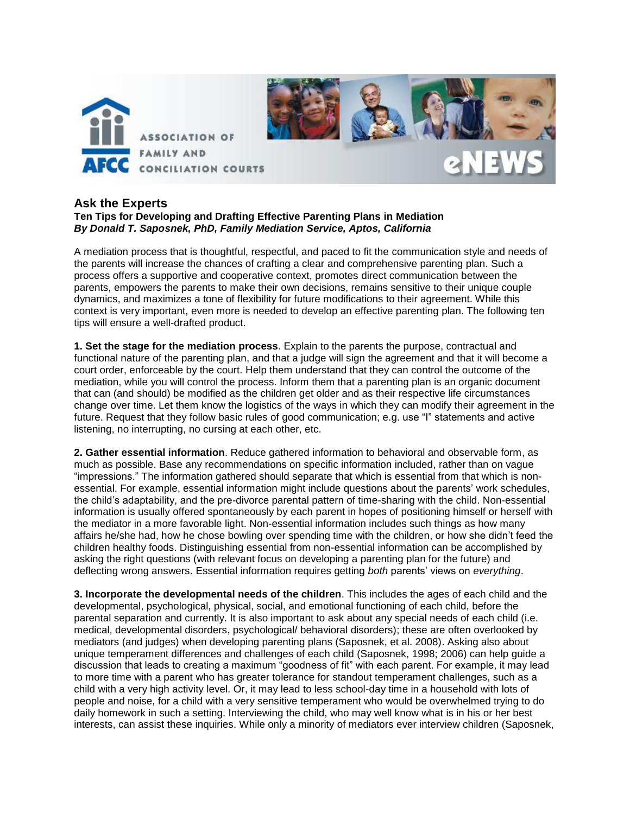

## **Ask the Experts**

## **Ten Tips for Developing and Drafting Effective Parenting Plans in Mediation** *By Donald T. Saposnek, PhD, Family Mediation Service, Aptos, California*

A mediation process that is thoughtful, respectful, and paced to fit the communication style and needs of the parents will increase the chances of crafting a clear and comprehensive parenting plan. Such a process offers a supportive and cooperative context, promotes direct communication between the parents, empowers the parents to make their own decisions, remains sensitive to their unique couple dynamics, and maximizes a tone of flexibility for future modifications to their agreement. While this context is very important, even more is needed to develop an effective parenting plan. The following ten tips will ensure a well-drafted product.

**1. Set the stage for the mediation process**. Explain to the parents the purpose, contractual and functional nature of the parenting plan, and that a judge will sign the agreement and that it will become a court order, enforceable by the court. Help them understand that they can control the outcome of the mediation, while you will control the process. Inform them that a parenting plan is an organic document that can (and should) be modified as the children get older and as their respective life circumstances change over time. Let them know the logistics of the ways in which they can modify their agreement in the future. Request that they follow basic rules of good communication; e.g. use "I" statements and active listening, no interrupting, no cursing at each other, etc.

**2. Gather essential information**. Reduce gathered information to behavioral and observable form, as much as possible. Base any recommendations on specific information included, rather than on vague "impressions." The information gathered should separate that which is essential from that which is nonessential. For example, essential information might include questions about the parents' work schedules, the child's adaptability, and the pre-divorce parental pattern of time-sharing with the child. Non-essential information is usually offered spontaneously by each parent in hopes of positioning himself or herself with the mediator in a more favorable light. Non-essential information includes such things as how many affairs he/she had, how he chose bowling over spending time with the children, or how she didn't feed the children healthy foods. Distinguishing essential from non-essential information can be accomplished by asking the right questions (with relevant focus on developing a parenting plan for the future) and deflecting wrong answers. Essential information requires getting *both* parents' views on *everything*.

**3. Incorporate the developmental needs of the children**. This includes the ages of each child and the developmental, psychological, physical, social, and emotional functioning of each child, before the parental separation and currently. It is also important to ask about any special needs of each child (i.e. medical, developmental disorders, psychological/ behavioral disorders); these are often overlooked by mediators (and judges) when developing parenting plans (Saposnek, et al. 2008). Asking also about unique temperament differences and challenges of each child (Saposnek, 1998; 2006) can help guide a discussion that leads to creating a maximum "goodness of fit" with each parent. For example, it may lead to more time with a parent who has greater tolerance for standout temperament challenges, such as a child with a very high activity level. Or, it may lead to less school-day time in a household with lots of people and noise, for a child with a very sensitive temperament who would be overwhelmed trying to do daily homework in such a setting. Interviewing the child, who may well know what is in his or her best interests, can assist these inquiries. While only a minority of mediators ever interview children (Saposnek,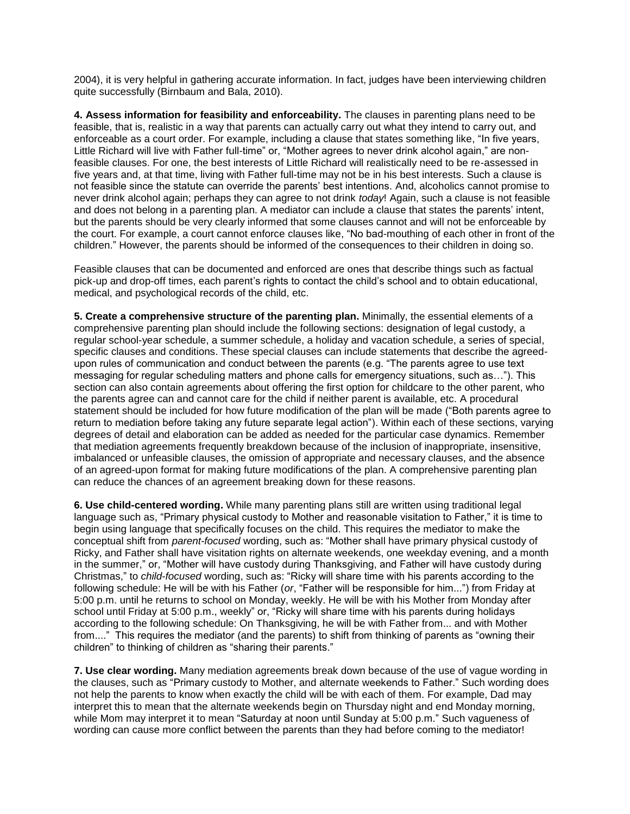2004), it is very helpful in gathering accurate information. In fact, judges have been interviewing children quite successfully (Birnbaum and Bala, 2010).

**4. Assess information for feasibility and enforceability.** The clauses in parenting plans need to be feasible, that is, realistic in a way that parents can actually carry out what they intend to carry out, and enforceable as a court order. For example, including a clause that states something like, "In five years, Little Richard will live with Father full-time" or, "Mother agrees to never drink alcohol again," are nonfeasible clauses. For one, the best interests of Little Richard will realistically need to be re-assessed in five years and, at that time, living with Father full-time may not be in his best interests. Such a clause is not feasible since the statute can override the parents' best intentions. And, alcoholics cannot promise to never drink alcohol again; perhaps they can agree to not drink *today*! Again, such a clause is not feasible and does not belong in a parenting plan. A mediator can include a clause that states the parents' intent, but the parents should be very clearly informed that some clauses cannot and will not be enforceable by the court. For example, a court cannot enforce clauses like, "No bad-mouthing of each other in front of the children." However, the parents should be informed of the consequences to their children in doing so.

Feasible clauses that can be documented and enforced are ones that describe things such as factual pick-up and drop-off times, each parent's rights to contact the child's school and to obtain educational, medical, and psychological records of the child, etc.

**5. Create a comprehensive structure of the parenting plan.** Minimally, the essential elements of a comprehensive parenting plan should include the following sections: designation of legal custody, a regular school-year schedule, a summer schedule, a holiday and vacation schedule, a series of special, specific clauses and conditions. These special clauses can include statements that describe the agreedupon rules of communication and conduct between the parents (e.g. "The parents agree to use text messaging for regular scheduling matters and phone calls for emergency situations, such as…"). This section can also contain agreements about offering the first option for childcare to the other parent, who the parents agree can and cannot care for the child if neither parent is available, etc. A procedural statement should be included for how future modification of the plan will be made ("Both parents agree to return to mediation before taking any future separate legal action"). Within each of these sections, varying degrees of detail and elaboration can be added as needed for the particular case dynamics. Remember that mediation agreements frequently breakdown because of the inclusion of inappropriate, insensitive, imbalanced or unfeasible clauses, the omission of appropriate and necessary clauses, and the absence of an agreed-upon format for making future modifications of the plan. A comprehensive parenting plan can reduce the chances of an agreement breaking down for these reasons.

**6. Use child-centered wording.** While many parenting plans still are written using traditional legal language such as, "Primary physical custody to Mother and reasonable visitation to Father," it is time to begin using language that specifically focuses on the child. This requires the mediator to make the conceptual shift from *parent-focused* wording, such as: "Mother shall have primary physical custody of Ricky, and Father shall have visitation rights on alternate weekends, one weekday evening, and a month in the summer," or, "Mother will have custody during Thanksgiving, and Father will have custody during Christmas," to *child-focused* wording, such as: "Ricky will share time with his parents according to the following schedule: He will be with his Father (*or*, "Father will be responsible for him...") from Friday at 5:00 p.m. until he returns to school on Monday, weekly. He will be with his Mother from Monday after school until Friday at 5:00 p.m., weekly" or, "Ricky will share time with his parents during holidays according to the following schedule: On Thanksgiving, he will be with Father from... and with Mother from...." This requires the mediator (and the parents) to shift from thinking of parents as "owning their children" to thinking of children as "sharing their parents."

**7. Use clear wording.** Many mediation agreements break down because of the use of vague wording in the clauses, such as "Primary custody to Mother, and alternate weekends to Father." Such wording does not help the parents to know when exactly the child will be with each of them. For example, Dad may interpret this to mean that the alternate weekends begin on Thursday night and end Monday morning, while Mom may interpret it to mean "Saturday at noon until Sunday at 5:00 p.m." Such vagueness of wording can cause more conflict between the parents than they had before coming to the mediator!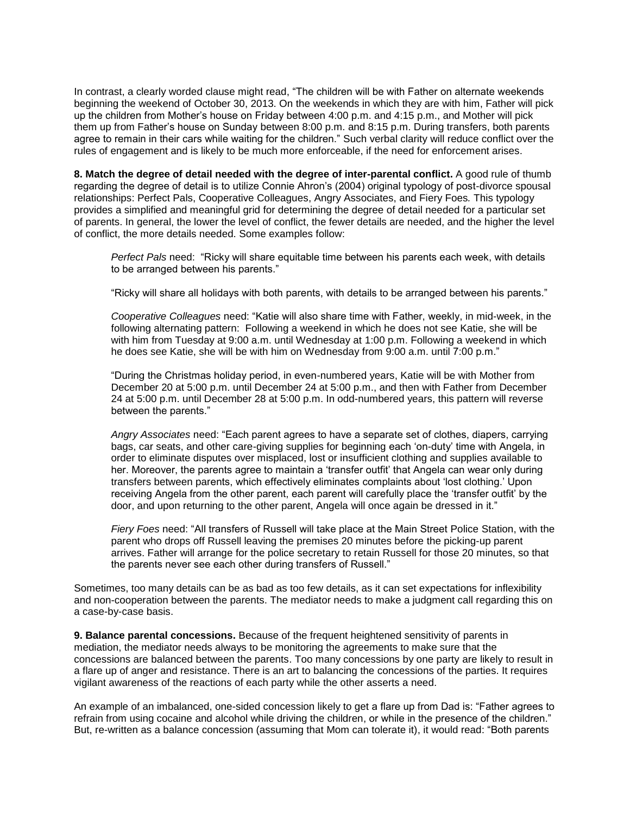In contrast, a clearly worded clause might read, "The children will be with Father on alternate weekends beginning the weekend of October 30, 2013. On the weekends in which they are with him, Father will pick up the children from Mother's house on Friday between 4:00 p.m. and 4:15 p.m., and Mother will pick them up from Father's house on Sunday between 8:00 p.m. and 8:15 p.m. During transfers, both parents agree to remain in their cars while waiting for the children." Such verbal clarity will reduce conflict over the rules of engagement and is likely to be much more enforceable, if the need for enforcement arises.

**8. Match the degree of detail needed with the degree of inter-parental conflict.** A good rule of thumb regarding the degree of detail is to utilize Connie Ahron's (2004) original typology of post-divorce spousal relationships: Perfect Pals, Cooperative Colleagues, Angry Associates, and Fiery Foes*.* This typology provides a simplified and meaningful grid for determining the degree of detail needed for a particular set of parents. In general, the lower the level of conflict, the fewer details are needed, and the higher the level of conflict, the more details needed. Some examples follow:

*Perfect Pals* need: "Ricky will share equitable time between his parents each week, with details to be arranged between his parents."

"Ricky will share all holidays with both parents, with details to be arranged between his parents."

*Cooperative Colleagues* need: "Katie will also share time with Father, weekly, in mid-week, in the following alternating pattern: Following a weekend in which he does not see Katie, she will be with him from Tuesday at 9:00 a.m. until Wednesday at 1:00 p.m. Following a weekend in which he does see Katie, she will be with him on Wednesday from 9:00 a.m. until 7:00 p.m."

"During the Christmas holiday period, in even-numbered years, Katie will be with Mother from December 20 at 5:00 p.m. until December 24 at 5:00 p.m., and then with Father from December 24 at 5:00 p.m. until December 28 at 5:00 p.m. In odd-numbered years, this pattern will reverse between the parents."

*Angry Associates* need: "Each parent agrees to have a separate set of clothes, diapers, carrying bags, car seats, and other care-giving supplies for beginning each 'on-duty' time with Angela, in order to eliminate disputes over misplaced, lost or insufficient clothing and supplies available to her. Moreover, the parents agree to maintain a 'transfer outfit' that Angela can wear only during transfers between parents, which effectively eliminates complaints about 'lost clothing.' Upon receiving Angela from the other parent, each parent will carefully place the 'transfer outfit' by the door, and upon returning to the other parent, Angela will once again be dressed in it."

*Fiery Foes* need: "All transfers of Russell will take place at the Main Street Police Station, with the parent who drops off Russell leaving the premises 20 minutes before the picking-up parent arrives. Father will arrange for the police secretary to retain Russell for those 20 minutes, so that the parents never see each other during transfers of Russell."

Sometimes, too many details can be as bad as too few details, as it can set expectations for inflexibility and non-cooperation between the parents. The mediator needs to make a judgment call regarding this on a case-by-case basis.

**9. Balance parental concessions.** Because of the frequent heightened sensitivity of parents in mediation, the mediator needs always to be monitoring the agreements to make sure that the concessions are balanced between the parents. Too many concessions by one party are likely to result in a flare up of anger and resistance. There is an art to balancing the concessions of the parties. It requires vigilant awareness of the reactions of each party while the other asserts a need.

An example of an imbalanced, one-sided concession likely to get a flare up from Dad is: "Father agrees to refrain from using cocaine and alcohol while driving the children, or while in the presence of the children." But, re-written as a balance concession (assuming that Mom can tolerate it), it would read: "Both parents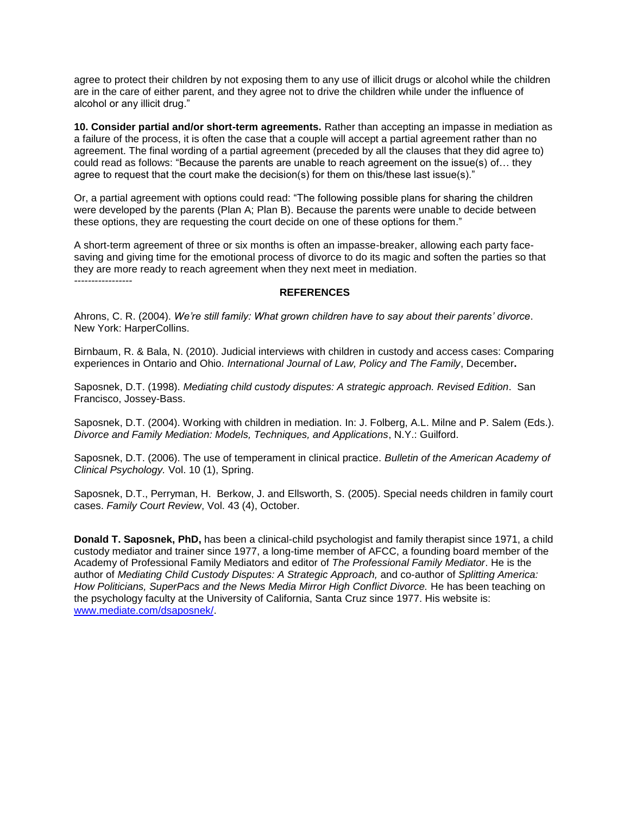agree to protect their children by not exposing them to any use of illicit drugs or alcohol while the children are in the care of either parent, and they agree not to drive the children while under the influence of alcohol or any illicit drug."

**10. Consider partial and/or short-term agreements.** Rather than accepting an impasse in mediation as a failure of the process, it is often the case that a couple will accept a partial agreement rather than no agreement. The final wording of a partial agreement (preceded by all the clauses that they did agree to) could read as follows: "Because the parents are unable to reach agreement on the issue(s) of… they agree to request that the court make the decision(s) for them on this/these last issue(s)."

Or, a partial agreement with options could read: "The following possible plans for sharing the children were developed by the parents (Plan A; Plan B). Because the parents were unable to decide between these options, they are requesting the court decide on one of these options for them."

A short-term agreement of three or six months is often an impasse-breaker, allowing each party facesaving and giving time for the emotional process of divorce to do its magic and soften the parties so that they are more ready to reach agreement when they next meet in mediation.

*-----------------*

### **REFERENCES**

Ahrons, C. R. (2004). *We're still family: What grown children have to say about their parents' divorce*. New York: HarperCollins.

Birnbaum, R. & Bala, N. (2010). Judicial interviews with children in custody and access cases: Comparing experiences in Ontario and Ohio. *International Journal of Law, Policy and The Family*, December**.**

Saposnek, D.T. (1998). *Mediating child custody disputes: A strategic approach. Revised Edition*. San Francisco, Jossey-Bass.

Saposnek, D.T. (2004). Working with children in mediation. In: J. Folberg, A.L. Milne and P. Salem (Eds.). *Divorce and Family Mediation: Models, Techniques, and Applications*, N.Y.: Guilford.

Saposnek, D.T. (2006). The use of temperament in clinical practice. *Bulletin of the American Academy of Clinical Psychology.* Vol. 10 (1), Spring.

Saposnek, D.T., Perryman, H. Berkow, J. and Ellsworth, S. (2005). Special needs children in family court cases. *Family Court Review*, Vol. 43 (4), October.

**Donald T. Saposnek, PhD,** has been a clinical-child psychologist and family therapist since 1971, a child custody mediator and trainer since 1977, a long-time member of AFCC, a founding board member of the Academy of Professional Family Mediators and editor of *The Professional Family Mediator*. He is the author of *Mediating Child Custody Disputes: A Strategic Approach,* and co-author of *Splitting America: How Politicians, SuperPacs and the News Media Mirror High Conflict Divorce.* He has been teaching on the psychology faculty at the University of California, Santa Cruz since 1977. His website is: [www.mediate.com/dsaposnek/.](http://www.mediate.com/dsaposnek/)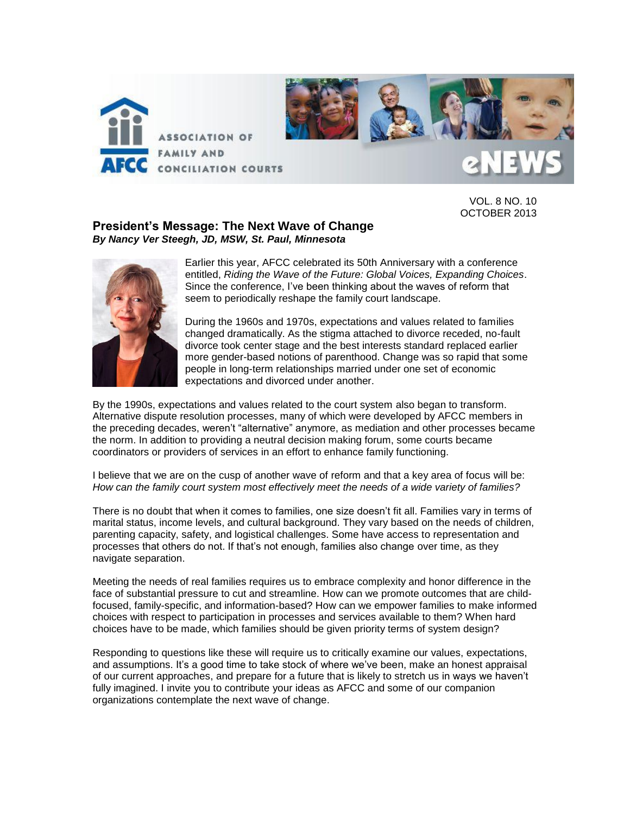

VOL. 8 NO. 10 OCTOBER 2013

## **President's Message: The Next Wave of Change**  *By Nancy Ver Steegh, JD, MSW, St. Paul, Minnesota*



Earlier this year, AFCC celebrated its 50th Anniversary with a conference entitled, *Riding the Wave of the Future: Global Voices, Expanding Choices*. Since the conference, I've been thinking about the waves of reform that seem to periodically reshape the family court landscape.

During the 1960s and 1970s, expectations and values related to families changed dramatically. As the stigma attached to divorce receded, no-fault divorce took center stage and the best interests standard replaced earlier more gender-based notions of parenthood. Change was so rapid that some people in long-term relationships married under one set of economic expectations and divorced under another.

By the 1990s, expectations and values related to the court system also began to transform. Alternative dispute resolution processes, many of which were developed by AFCC members in the preceding decades, weren't "alternative" anymore, as mediation and other processes became the norm. In addition to providing a neutral decision making forum, some courts became coordinators or providers of services in an effort to enhance family functioning.

I believe that we are on the cusp of another wave of reform and that a key area of focus will be: *How can the family court system most effectively meet the needs of a wide variety of families?* 

There is no doubt that when it comes to families, one size doesn't fit all. Families vary in terms of marital status, income levels, and cultural background. They vary based on the needs of children, parenting capacity, safety, and logistical challenges. Some have access to representation and processes that others do not. If that's not enough, families also change over time, as they navigate separation.

Meeting the needs of real families requires us to embrace complexity and honor difference in the face of substantial pressure to cut and streamline. How can we promote outcomes that are childfocused, family-specific, and information-based? How can we empower families to make informed choices with respect to participation in processes and services available to them? When hard choices have to be made, which families should be given priority terms of system design?

Responding to questions like these will require us to critically examine our values, expectations, and assumptions. It's a good time to take stock of where we've been, make an honest appraisal of our current approaches, and prepare for a future that is likely to stretch us in ways we haven't fully imagined. I invite you to contribute your ideas as AFCC and some of our companion organizations contemplate the next wave of change.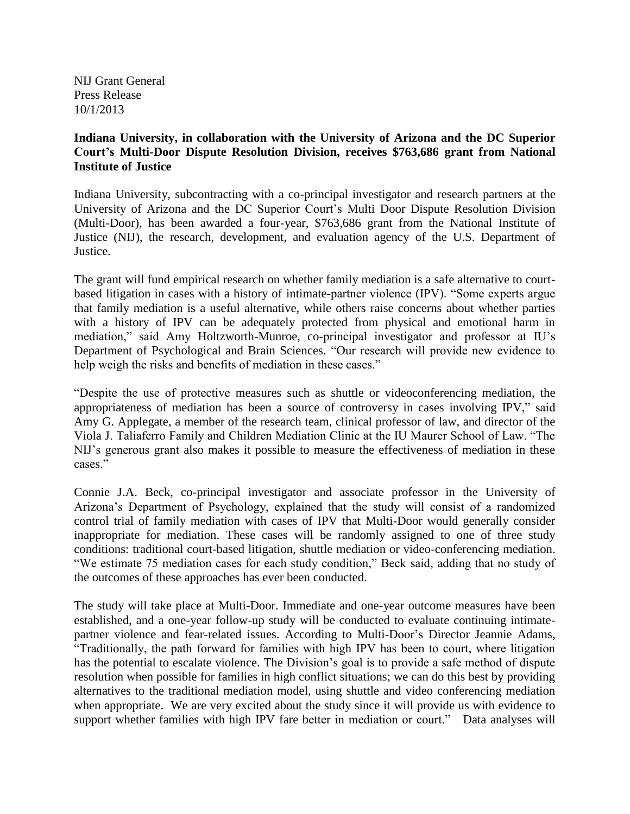NIJ Grant General Press Release 10/1/2013

# **Indiana University, in collaboration with the University of Arizona and the DC Superior Court's Multi-Door Dispute Resolution Division, receives \$763,686 grant from National Institute of Justice**

Indiana University, subcontracting with a co-principal investigator and research partners at the University of Arizona and the DC Superior Court's Multi Door Dispute Resolution Division (Multi-Door), has been awarded a four-year, \$763,686 grant from the National Institute of Justice (NIJ), the research, development, and evaluation agency of the U.S. Department of Justice.

The grant will fund empirical research on whether family mediation is a safe alternative to courtbased litigation in cases with a history of intimate-partner violence (IPV). "Some experts argue that family mediation is a useful alternative, while others raise concerns about whether parties with a history of IPV can be adequately protected from physical and emotional harm in mediation," said Amy Holtzworth-Munroe, co-principal investigator and professor at IU's Department of Psychological and Brain Sciences. "Our research will provide new evidence to help weigh the risks and benefits of mediation in these cases."

"Despite the use of protective measures such as shuttle or videoconferencing mediation, the appropriateness of mediation has been a source of controversy in cases involving IPV," said Amy G. Applegate, a member of the research team, clinical professor of law, and director of the Viola J. Taliaferro Family and Children Mediation Clinic at the IU Maurer School of Law. "The NIJ's generous grant also makes it possible to measure the effectiveness of mediation in these cases."

Connie J.A. Beck, co-principal investigator and associate professor in the University of Arizona's Department of Psychology, explained that the study will consist of a randomized control trial of family mediation with cases of IPV that Multi-Door would generally consider inappropriate for mediation. These cases will be randomly assigned to one of three study conditions: traditional court-based litigation, shuttle mediation or video-conferencing mediation. "We estimate 75 mediation cases for each study condition," Beck said, adding that no study of the outcomes of these approaches has ever been conducted.

The study will take place at Multi-Door. Immediate and one-year outcome measures have been established, and a one-year follow-up study will be conducted to evaluate continuing intimatepartner violence and fear-related issues. According to Multi-Door's Director Jeannie Adams, "Traditionally, the path forward for families with high IPV has been to court, where litigation has the potential to escalate violence. The Division's goal is to provide a safe method of dispute resolution when possible for families in high conflict situations; we can do this best by providing alternatives to the traditional mediation model, using shuttle and video conferencing mediation when appropriate. We are very excited about the study since it will provide us with evidence to support whether families with high IPV fare better in mediation or court." Data analyses will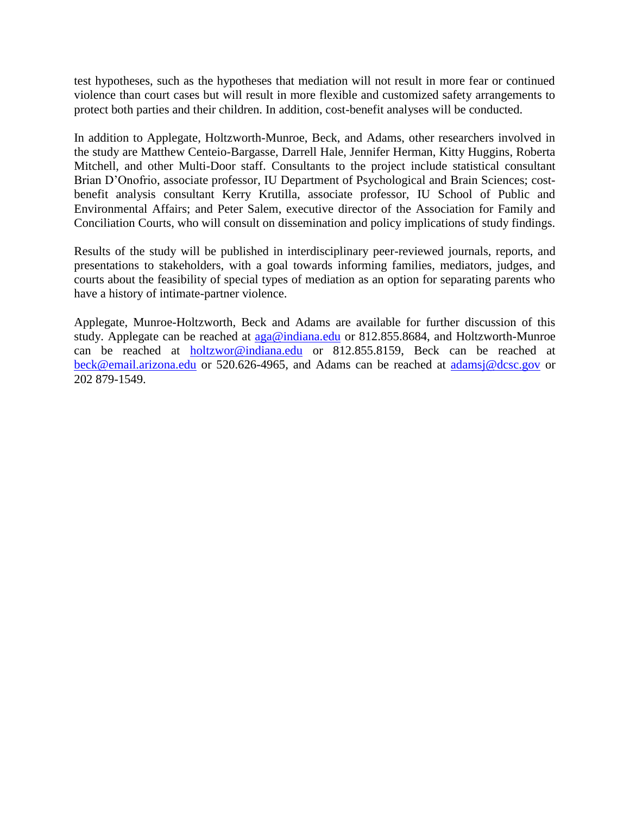test hypotheses, such as the hypotheses that mediation will not result in more fear or continued violence than court cases but will result in more flexible and customized safety arrangements to protect both parties and their children. In addition, cost-benefit analyses will be conducted.

In addition to Applegate, Holtzworth-Munroe, Beck, and Adams, other researchers involved in the study are Matthew Centeio-Bargasse, Darrell Hale, Jennifer Herman, Kitty Huggins, Roberta Mitchell, and other Multi-Door staff. Consultants to the project include statistical consultant Brian D'Onofrio, associate professor, IU Department of Psychological and Brain Sciences; costbenefit analysis consultant Kerry Krutilla, associate professor, IU School of Public and Environmental Affairs; and Peter Salem, executive director of the Association for Family and Conciliation Courts, who will consult on dissemination and policy implications of study findings.

Results of the study will be published in interdisciplinary peer-reviewed journals, reports, and presentations to stakeholders, with a goal towards informing families, mediators, judges, and courts about the feasibility of special types of mediation as an option for separating parents who have a history of intimate-partner violence.

Applegate, Munroe-Holtzworth, Beck and Adams are available for further discussion of this study. Applegate can be reached at  $aga@indiana.edu$  or 812.855.8684, and Holtzworth-Munroe can be reached at [holtzwor@indiana.edu](mailto:holtzwor@indiana.edu) or 812.855.8159, Beck can be reached at [beck@email.arizona.edu](mailto:beck@email.arizona.edu) or 520.626-4965, and Adams can be reached at [adamsj@dcsc.gov](mailto:adamsj@dcsc.gov) or 202 879-1549.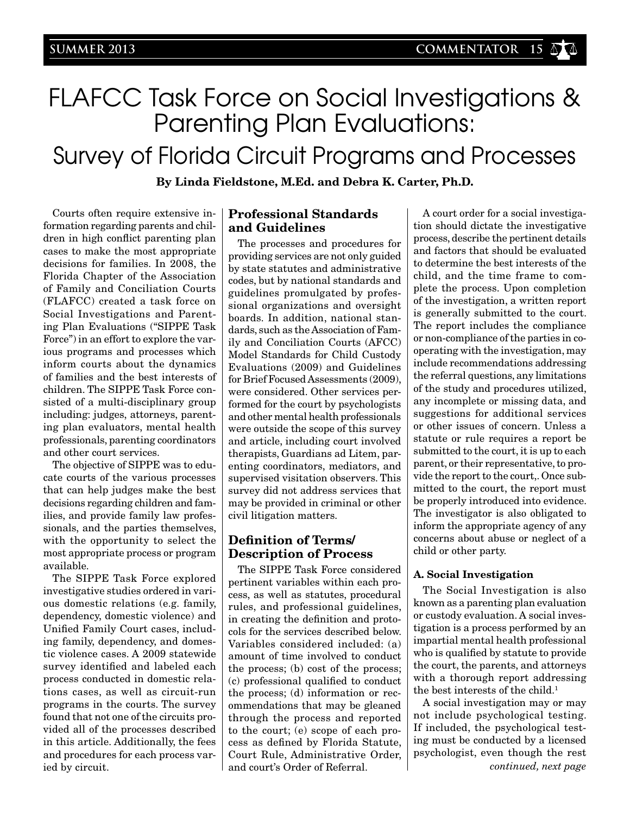# FLAFCC Task Force on Social Investigations & Parenting Plan Evaluations: Survey of Florida Circuit Programs and Processes

**By Linda Fieldstone, M.Ed. and Debra K. Carter, Ph.D.**

Courts often require extensive information regarding parents and children in high conflict parenting plan cases to make the most appropriate decisions for families. In 2008, the Florida Chapter of the Association of Family and Conciliation Courts (FLAFCC) created a task force on Social Investigations and Parenting Plan Evaluations ("SIPPE Task Force") in an effort to explore the various programs and processes which inform courts about the dynamics of families and the best interests of children. The SIPPE Task Force consisted of a multi-disciplinary group including: judges, attorneys, parenting plan evaluators, mental health professionals, parenting coordinators and other court services.

The objective of SIPPE was to educate courts of the various processes that can help judges make the best decisions regarding children and families, and provide family law professionals, and the parties themselves, with the opportunity to select the most appropriate process or program available.

The SIPPE Task Force explored investigative studies ordered in various domestic relations (e.g. family, dependency, domestic violence) and Unified Family Court cases, including family, dependency, and domestic violence cases. A 2009 statewide survey identified and labeled each process conducted in domestic relations cases, as well as circuit-run programs in the courts. The survey found that not one of the circuits provided all of the processes described in this article. Additionally, the fees and procedures for each process varied by circuit.

## **Professional Standards and Guidelines**

The processes and procedures for providing services are not only guided by state statutes and administrative codes, but by national standards and guidelines promulgated by professional organizations and oversight boards. In addition, national standards, such as the Association of Family and Conciliation Courts (AFCC) Model Standards for Child Custody Evaluations (2009) and Guidelines for Brief Focused Assessments (2009), were considered. Other services performed for the court by psychologists and other mental health professionals were outside the scope of this survey and article, including court involved therapists, Guardians ad Litem, parenting coordinators, mediators, and supervised visitation observers. This survey did not address services that may be provided in criminal or other civil litigation matters.

# **Definition of Terms/ Description of Process**

The SIPPE Task Force considered pertinent variables within each process, as well as statutes, procedural rules, and professional guidelines, in creating the definition and protocols for the services described below. Variables considered included: (a) amount of time involved to conduct the process; (b) cost of the process; (c) professional qualified to conduct the process; (d) information or recommendations that may be gleaned through the process and reported to the court; (e) scope of each process as defined by Florida Statute, Court Rule, Administrative Order, and court's Order of Referral. *continued, next page*

A court order for a social investigation should dictate the investigative process, describe the pertinent details and factors that should be evaluated to determine the best interests of the child, and the time frame to complete the process. Upon completion of the investigation, a written report is generally submitted to the court. The report includes the compliance or non-compliance of the parties in cooperating with the investigation, may include recommendations addressing the referral questions, any limitations of the study and procedures utilized, any incomplete or missing data, and suggestions for additional services or other issues of concern. Unless a statute or rule requires a report be submitted to the court, it is up to each parent, or their representative, to provide the report to the court,. Once submitted to the court, the report must be properly introduced into evidence. The investigator is also obligated to inform the appropriate agency of any concerns about abuse or neglect of a child or other party.

## **A. Social Investigation**

The Social Investigation is also known as a parenting plan evaluation or custody evaluation. A social investigation is a process performed by an impartial mental health professional who is qualified by statute to provide the court, the parents, and attorneys with a thorough report addressing the best interests of the child.<sup>1</sup>

A social investigation may or may not include psychological testing. If included, the psychological testing must be conducted by a licensed psychologist, even though the rest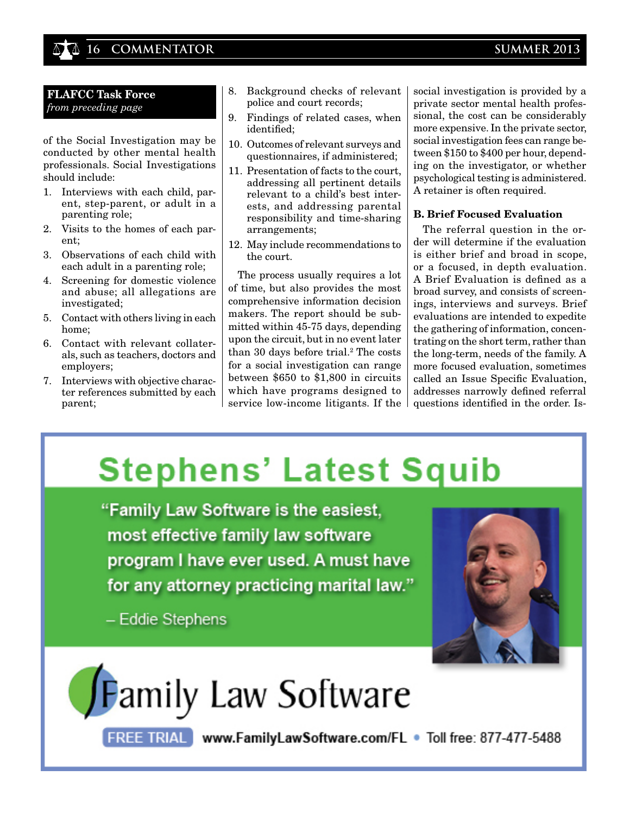# **16 COMMENTATOR SUMMER 2013**

## **FLAFCC Task Force** *from preceding page*

of the Social Investigation may be conducted by other mental health professionals. Social Investigations should include:

- 1. Interviews with each child, parent, step-parent, or adult in a parenting role;
- 2. Visits to the homes of each parent;
- 3. Observations of each child with each adult in a parenting role;
- 4. Screening for domestic violence and abuse; all allegations are investigated;
- 5. Contact with others living in each home;
- 6. Contact with relevant collaterals, such as teachers, doctors and employers;
- 7. Interviews with objective character references submitted by each parent;
- 8. Background checks of relevant police and court records;
- 9. Findings of related cases, when identified;
- 10. Outcomes of relevant surveys and questionnaires, if administered;
- 11. Presentation of facts to the court, addressing all pertinent details relevant to a child's best interests, and addressing parental responsibility and time-sharing arrangements;
- 12. May include recommendations to the court.

The process usually requires a lot of time, but also provides the most comprehensive information decision makers. The report should be submitted within 45-75 days, depending upon the circuit, but in no event later than 30 days before trial.<sup>2</sup> The costs for a social investigation can range between \$650 to \$1,800 in circuits which have programs designed to service low-income litigants. If the social investigation is provided by a private sector mental health professional, the cost can be considerably more expensive. In the private sector, social investigation fees can range between \$150 to \$400 per hour, depending on the investigator, or whether psychological testing is administered. A retainer is often required.

## **B. Brief Focused Evaluation**

The referral question in the order will determine if the evaluation is either brief and broad in scope, or a focused, in depth evaluation. A Brief Evaluation is defined as a broad survey, and consists of screenings, interviews and surveys. Brief evaluations are intended to expedite the gathering of information, concentrating on the short term, rather than the long-term, needs of the family. A more focused evaluation, sometimes called an Issue Specific Evaluation, addresses narrowly defined referral questions identified in the order. Is-

# **Stephens' Latest Squib**

"Family Law Software is the easiest, most effective family law software program I have ever used. A must have for any attorney practicing marital law."

- Eddie Stephens



# **Family Law Software**

FREE TRIAL www.FamilyLawSoftware.com/FL . Toll free: 877-477-5488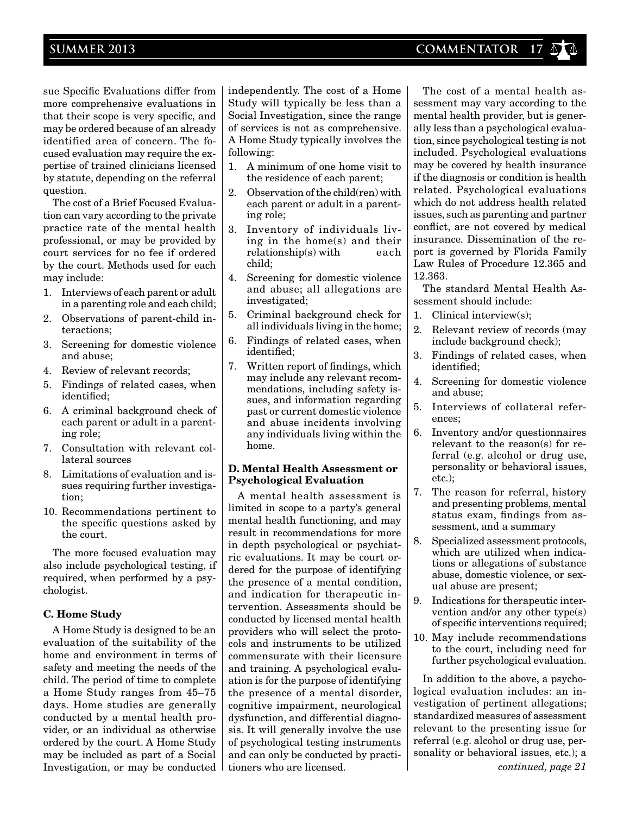sue Specific Evaluations differ from more comprehensive evaluations in that their scope is very specific, and may be ordered because of an already identified area of concern. The focused evaluation may require the expertise of trained clinicians licensed by statute, depending on the referral question.

The cost of a Brief Focused Evaluation can vary according to the private practice rate of the mental health professional, or may be provided by court services for no fee if ordered by the court. Methods used for each may include:

- 1. Interviews of each parent or adult in a parenting role and each child;
- 2. Observations of parent-child interactions;
- 3. Screening for domestic violence and abuse;
- 4. Review of relevant records;
- 5. Findings of related cases, when identified;
- 6. A criminal background check of each parent or adult in a parenting role;
- 7. Consultation with relevant collateral sources
- 8. Limitations of evaluation and issues requiring further investigation;
- 10. Recommendations pertinent to the specific questions asked by the court.

The more focused evaluation may also include psychological testing, if required, when performed by a psychologist.

## **C. Home Study**

A Home Study is designed to be an evaluation of the suitability of the home and environment in terms of safety and meeting the needs of the child. The period of time to complete a Home Study ranges from 45–75 days. Home studies are generally conducted by a mental health provider, or an individual as otherwise ordered by the court. A Home Study may be included as part of a Social Investigation, or may be conducted independently. The cost of a Home Study will typically be less than a Social Investigation, since the range of services is not as comprehensive. A Home Study typically involves the following:

- 1. A minimum of one home visit to the residence of each parent;
- 2. Observation of the child(ren) with each parent or adult in a parenting role;
- 3. Inventory of individuals living in the home(s) and their relationship(s) with each child;
- 4. Screening for domestic violence and abuse; all allegations are investigated;
- 5. Criminal background check for all individuals living in the home;
- 6. Findings of related cases, when identified;
- 7. Written report of findings, which may include any relevant recommendations, including safety issues, and information regarding past or current domestic violence and abuse incidents involving any individuals living within the home.

## **D. Mental Health Assessment or Psychological Evaluation**

A mental health assessment is limited in scope to a party's general mental health functioning, and may result in recommendations for more in depth psychological or psychiatric evaluations. It may be court ordered for the purpose of identifying the presence of a mental condition, and indication for therapeutic intervention. Assessments should be conducted by licensed mental health providers who will select the protocols and instruments to be utilized commensurate with their licensure and training. A psychological evaluation is for the purpose of identifying the presence of a mental disorder, cognitive impairment, neurological dysfunction, and differential diagnosis. It will generally involve the use of psychological testing instruments and can only be conducted by practitioners who are licensed. *continued, page 21*

The cost of a mental health assessment may vary according to the mental health provider, but is generally less than a psychological evaluation, since psychological testing is not included. Psychological evaluations may be covered by health insurance if the diagnosis or condition is health related. Psychological evaluations which do not address health related issues, such as parenting and partner conflict, are not covered by medical insurance. Dissemination of the report is governed by Florida Family Law Rules of Procedure 12.365 and 12.363.

The standard Mental Health Assessment should include:

- 1. Clinical interview(s);
- 2. Relevant review of records (may include background check);
- 3. Findings of related cases, when identified;
- 4. Screening for domestic violence and abuse;
- 5. Interviews of collateral references;
- 6. Inventory and/or questionnaires relevant to the reason(s) for referral (e.g. alcohol or drug use, personality or behavioral issues, etc.);
- 7. The reason for referral, history and presenting problems, mental status exam, findings from assessment, and a summary
- 8. Specialized assessment protocols, which are utilized when indications or allegations of substance abuse, domestic violence, or sexual abuse are present;
- 9. Indications for therapeutic intervention and/or any other type(s) of specific interventions required;
- 10. May include recommendations to the court, including need for further psychological evaluation.

In addition to the above, a psychological evaluation includes: an investigation of pertinent allegations; standardized measures of assessment relevant to the presenting issue for referral (e.g. alcohol or drug use, personality or behavioral issues, etc.); a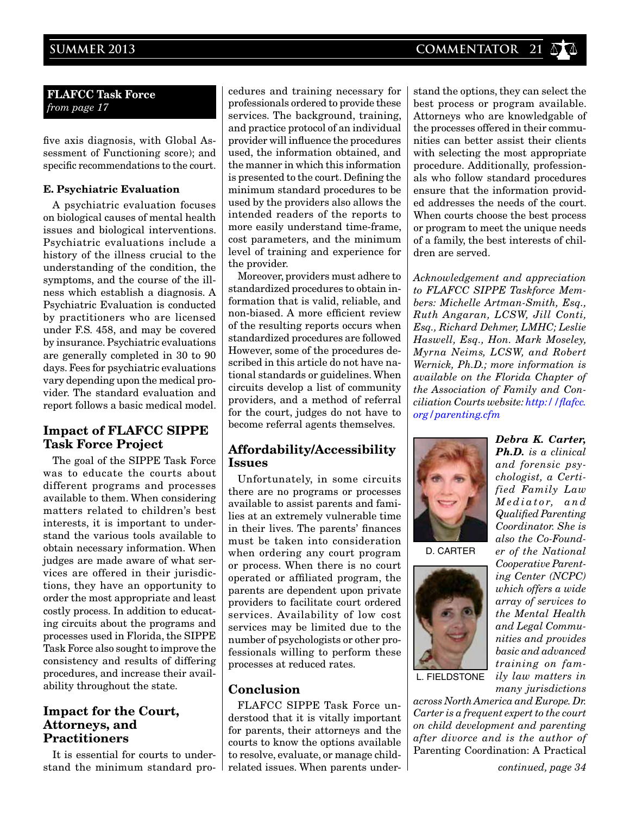**FLAFCC Task Force** *from page 17*

five axis diagnosis, with Global As sessment of Functioning score); and specific recommendations to the court.

## **E. Psychiatric Evaluation**

A psychiatric evaluation focuses on biological causes of mental health issues and biological interventions. Psychiatric evaluations include a history of the illness crucial to the understanding of the condition, the symptoms, and the course of the illness which establish a diagnosis. A Psychiatric Evaluation is conducted by practitioners who are licensed under F.S. 458, and may be covered by insurance. Psychiatric evaluations are generally completed in 30 to 90 days. Fees for psychiatric evaluations vary depending upon the medical provider. The standard evaluation and report follows a basic medical model.

# **Impact of FLAFCC SIPPE Task Force Project**

The goal of the SIPPE Task Force was to educate the courts about different programs and processes available to them. When considering matters related to children's best interests, it is important to understand the various tools available to obtain necessary information. When judges are made aware of what services are offered in their jurisdictions, they have an opportunity to order the most appropriate and least costly process. In addition to educating circuits about the programs and processes used in Florida, the SIPPE Task Force also sought to improve the consistency and results of differing procedures, and increase their availability throughout the state.

# **Impact for the Court, Attorneys, and Practitioners**

It is essential for courts to understand the minimum standard pro-

cedures and training necessary for professionals ordered to provide these services. The background, training, and practice protocol of an individual provider will influence the procedures used, the information obtained, and the manner in which this information is presented to the court. Defining the minimum standard procedures to be used by the providers also allows the intended readers of the reports to more easily understand time-frame, cost parameters, and the minimum level of training and experience for the provider.

Moreover, providers must adhere to standardized procedures to obtain information that is valid, reliable, and non-biased. A more efficient review of the resulting reports occurs when standardized procedures are followed However, some of the procedures described in this article do not have national standards or guidelines. When circuits develop a list of community providers, and a method of referral for the court, judges do not have to become referral agents themselves.

# **Affordability/Accessibility Issues**

Unfortunately, in some circuits there are no programs or processes available to assist parents and families at an extremely vulnerable time in their lives. The parents' finances must be taken into consideration when ordering any court program or process. When there is no court operated or affiliated program, the parents are dependent upon private providers to facilitate court ordered services. Availability of low cost services may be limited due to the number of psychologists or other professionals willing to perform these processes at reduced rates.

# **Conclusion**

FLAFCC SIPPE Task Force understood that it is vitally important for parents, their attorneys and the courts to know the options available to resolve, evaluate, or manage childrelated issues. When parents under-

dedures and training necessary for<br>professionals ordered to provide these<br>services. The background, training,<br>and practice protocol of an individual<br>provider will influence the procedures<br>provider will influence the proced stand the options, they can select the best process or program available. Attorneys who are knowledgable of the processes offered in their communities can better assist their clients with selecting the most appropriate procedure. Additionally, professionals who follow standard procedures ensure that the information provided addresses the needs of the court. When courts choose the best process or program to meet the unique needs of a family, the best interests of children are served.

> *Acknowledgement and appreciation to FLAFCC SIPPE Taskforce Members: Michelle Artman-Smith, Esq., Ruth Angaran, LCSW, Jill Conti, Esq., Richard Dehmer, LMHC; Leslie Haswell, Esq., Hon. Mark Moseley, Myrna Neims, LCSW, and Robert Wernick, Ph.D.; more information is available on the Florida Chapter of the Association of Family and Conciliation Courts website: http://flafcc. org/parenting.cfm*



D. carter



*Ph.D. is a clinical and forensic psychologist, a Certified Family Law M e d i a t o r, a n d Qualified Parenting Coordinator. She is also the Co-Founder of the National Cooperative Parenting Center (NCPC) which offers a wide array of services to the Mental Health and Legal Communities and provides basic and advanced training on family law matters in many jurisdictions* 

*Debra K. Carter,* 

l. fieldstone

*across North America and Europe. Dr. Carter is a frequent expert to the court on child development and parenting after divorce and is the author of*  Parenting Coordination: A Practical

*continued, page 34*